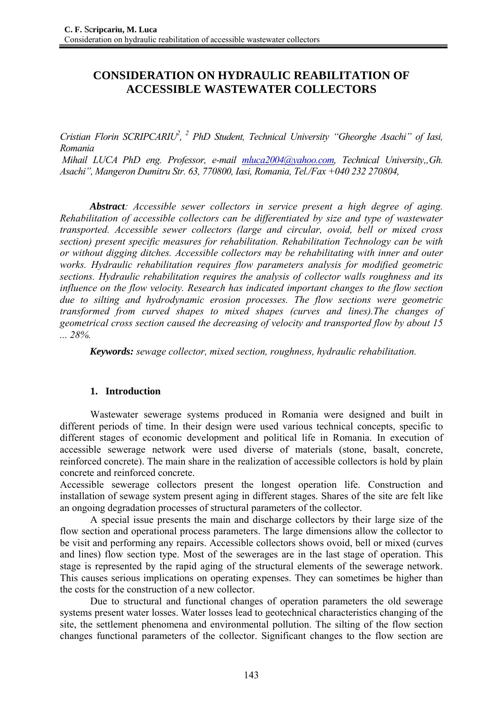# **CONSIDERATION ON HYDRAULIC REABILITATION OF ACCESSIBLE WASTEWATER COLLECTORS**

*Cristian Florin SCRIPCARIU<sup>2</sup>*, <sup>2</sup> PhD Student, Technical University "Gheorghe Asachi" of Iasi, *Romania* 

*Mihail LUCA PhD eng. Professor, e-mail mluca2004@yahoo.com, Technical University,, Gh. Asachi", Mangeron Dumitru Str. 63, 770800, Iasi, Romania, Tel./Fax +040 232 270804,* 

 *Abstract: Accessible sewer collectors in service present a high degree of aging. Rehabilitation of accessible collectors can be differentiated by size and type of wastewater transported. Accessible sewer collectors (large and circular, ovoid, bell or mixed cross section) present specific measures for rehabilitation. Rehabilitation Technology can be with or without digging ditches. Accessible collectors may be rehabilitating with inner and outer works. Hydraulic rehabilitation requires flow parameters analysis for modified geometric sections. Hydraulic rehabilitation requires the analysis of collector walls roughness and its influence on the flow velocity. Research has indicated important changes to the flow section due to silting and hydrodynamic erosion processes. The flow sections were geometric transformed from curved shapes to mixed shapes (curves and lines).The changes of geometrical cross section caused the decreasing of velocity and transported flow by about 15 ... 28%.* 

 *Keywords: sewage collector, mixed section, roughness, hydraulic rehabilitation.* 

## **1. Introduction**

Wastewater sewerage systems produced in Romania were designed and built in different periods of time. In their design were used various technical concepts, specific to different stages of economic development and political life in Romania. In execution of accessible sewerage network were used diverse of materials (stone, basalt, concrete, reinforced concrete). The main share in the realization of accessible collectors is hold by plain concrete and reinforced concrete.

Accessible sewerage collectors present the longest operation life. Construction and installation of sewage system present aging in different stages. Shares of the site are felt like an ongoing degradation processes of structural parameters of the collector.

A special issue presents the main and discharge collectors by their large size of the flow section and operational process parameters. The large dimensions allow the collector to be visit and performing any repairs. Accessible collectors shows ovoid, bell or mixed (curves and lines) flow section type. Most of the sewerages are in the last stage of operation. This stage is represented by the rapid aging of the structural elements of the sewerage network. This causes serious implications on operating expenses. They can sometimes be higher than the costs for the construction of a new collector.

 Due to structural and functional changes of operation parameters the old sewerage systems present water losses. Water losses lead to geotechnical characteristics changing of the site, the settlement phenomena and environmental pollution. The silting of the flow section changes functional parameters of the collector. Significant changes to the flow section are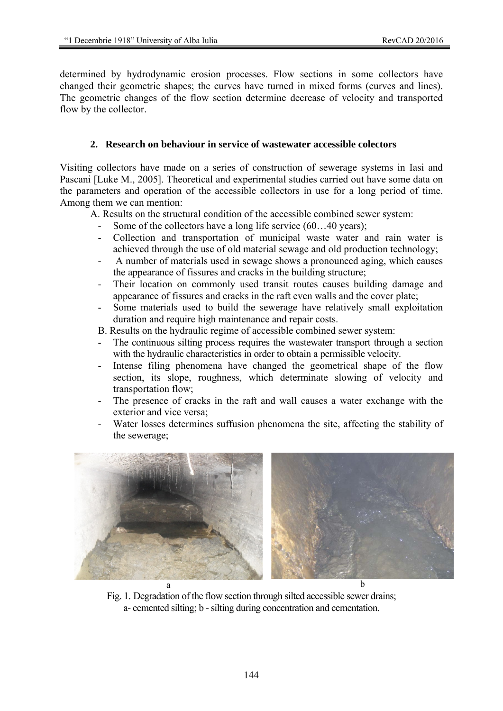determined by hydrodynamic erosion processes. Flow sections in some collectors have changed their geometric shapes; the curves have turned in mixed forms (curves and lines). The geometric changes of the flow section determine decrease of velocity and transported flow by the collector.

## **2. Research on behaviour in service of wastewater accessible colectors**

Visiting collectors have made on a series of construction of sewerage systems in Iasi and Pascani [Luke M., 2005]. Theoretical and experimental studies carried out have some data on the parameters and operation of the accessible collectors in use for a long period of time. Among them we can mention:

A. Results on the structural condition of the accessible combined sewer system:

- Some of the collectors have a long life service (60...40 years);
- Collection and transportation of municipal waste water and rain water is achieved through the use of old material sewage and old production technology;
- A number of materials used in sewage shows a pronounced aging, which causes the appearance of fissures and cracks in the building structure;
- Their location on commonly used transit routes causes building damage and appearance of fissures and cracks in the raft even walls and the cover plate;
- Some materials used to build the sewerage have relatively small exploitation duration and require high maintenance and repair costs.

B. Results on the hydraulic regime of accessible combined sewer system:

- The continuous silting process requires the wastewater transport through a section with the hydraulic characteristics in order to obtain a permissible velocity.
- Intense filing phenomena have changed the geometrical shape of the flow section, its slope, roughness, which determinate slowing of velocity and transportation flow;
- The presence of cracks in the raft and wall causes a water exchange with the exterior and vice versa;
- Water losses determines suffusion phenomena the site, affecting the stability of the sewerage;



Fig. 1. Degradation of the flow section through silted accessible sewer drains; a- cemented silting; b - silting during concentration and cementation.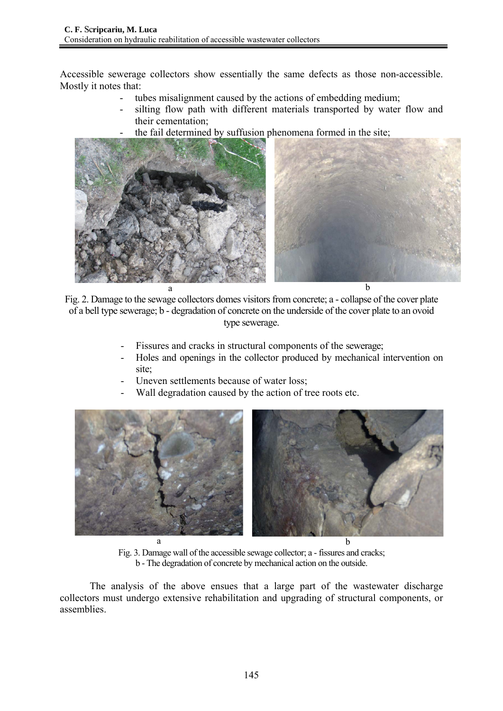Accessible sewerage collectors show essentially the same defects as those non-accessible. Mostly it notes that:

- tubes misalignment caused by the actions of embedding medium;
- silting flow path with different materials transported by water flow and their cementation;
- the fail determined by suffusion phenomena formed in the site;



Fig. 2. Damage to the sewage collectors domes visitors from concrete; a - collapse of the cover plate of a bell type sewerage; b - degradation of concrete on the underside of the cover plate to an ovoid type sewerage.

- Fissures and cracks in structural components of the sewerage;
- Holes and openings in the collector produced by mechanical intervention on site:
- Uneven settlements because of water loss;
- Wall degradation caused by the action of tree roots etc.



Fig. 3. Damage wall of the accessible sewage collector; a - fissures and cracks; b - The degradation of concrete by mechanical action on the outside.

The analysis of the above ensues that a large part of the wastewater discharge collectors must undergo extensive rehabilitation and upgrading of structural components, or assemblies.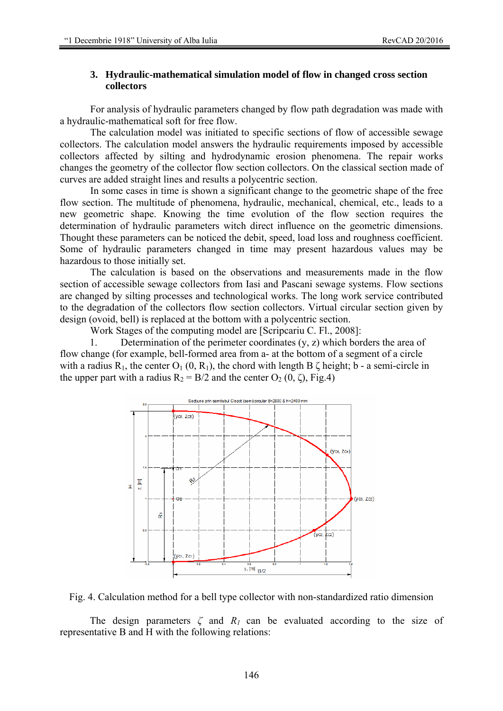### **3. Hydraulic-mathematical simulation model of flow in changed cross section collectors**

For analysis of hydraulic parameters changed by flow path degradation was made with a hydraulic-mathematical soft for free flow.

 The calculation model was initiated to specific sections of flow of accessible sewage collectors. The calculation model answers the hydraulic requirements imposed by accessible collectors affected by silting and hydrodynamic erosion phenomena. The repair works changes the geometry of the collector flow section collectors. On the classical section made of curves are added straight lines and results a polycentric section.

 In some cases in time is shown a significant change to the geometric shape of the free flow section. The multitude of phenomena, hydraulic, mechanical, chemical, etc., leads to a new geometric shape. Knowing the time evolution of the flow section requires the determination of hydraulic parameters witch direct influence on the geometric dimensions. Thought these parameters can be noticed the debit, speed, load loss and roughness coefficient. Some of hydraulic parameters changed in time may present hazardous values may be hazardous to those initially set.

 The calculation is based on the observations and measurements made in the flow section of accessible sewage collectors from Iasi and Pascani sewage systems. Flow sections are changed by silting processes and technological works. The long work service contributed to the degradation of the collectors flow section collectors. Virtual circular section given by design (ovoid, bell) is replaced at the bottom with a polycentric section.

Work Stages of the computing model are [Scripcariu C. Fl., 2008]:

1. Determination of the perimeter coordinates (y, z) which borders the area of flow change (for example, bell-formed area from a- at the bottom of a segment of a circle with a radius R<sub>1</sub>, the center  $O_1$  (0, R<sub>1</sub>), the chord with length B  $\zeta$  height; b - a semi-circle in the upper part with a radius  $R_2 = B/2$  and the center  $O_2$  (0,  $\zeta$ ), Fig.4)





The design parameters  $\zeta$  and  $R_1$  can be evaluated according to the size of representative B and H with the following relations: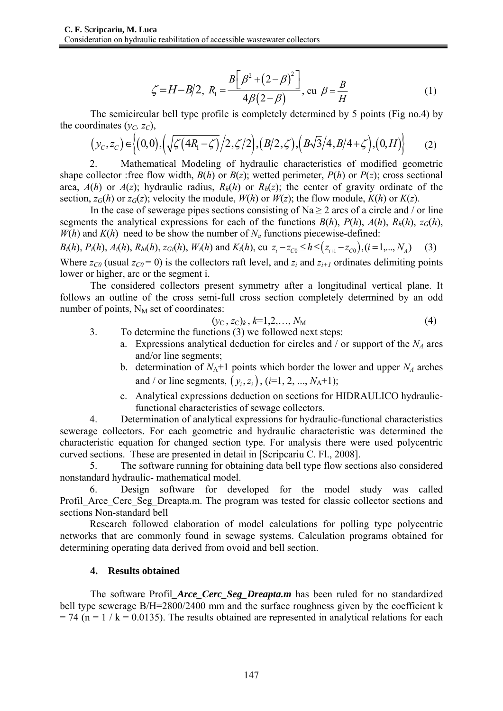$$
\zeta = H - B/2, R_1 = \frac{B[\beta^2 + (2 - \beta)^2]}{4\beta(2 - \beta)}, \text{ cu } \beta = \frac{B}{H}
$$
 (1)

The semicircular bell type profile is completely determined by 5 points (Fig no.4) by the coordinates  $(v<sub>C</sub>, z<sub>C</sub>)$ ,

$$
(y_C, z_C) \in \left\{ (0,0), \left( \sqrt{\zeta (4R_1 - \zeta)} / 2, \zeta / 2 \right), (B/2, \zeta), (B\sqrt{3}/4, B/4 + \zeta), (0, H) \right\} \tag{2}
$$

2. Mathematical Modeling of hydraulic characteristics of modified geometric shape collector :free flow width,  $B(h)$  or  $B(z)$ ; wetted perimeter,  $P(h)$  or  $P(z)$ ; cross sectional area,  $A(h)$  or  $A(z)$ ; hydraulic radius,  $R_h(h)$  or  $R_h(z)$ ; the center of gravity ordinate of the section,  $z_G(h)$  or  $z_G(z)$ ; velocity the module,  $W(h)$  or  $W(z)$ ; the flow module,  $K(h)$  or  $K(z)$ .

In the case of sewerage pipes sections consisting of Na  $\geq$  2 arcs of a circle and / or line segments the analytical expressions for each of the functions  $B(h)$ ,  $P(h)$ ,  $A(h)$ ,  $R_h(h)$ ,  $z_G(h)$ ,  $W(h)$  and  $K(h)$  need to be show the number of  $N_a$  functions piecewise-defined:

 $B_i(h)$ ,  $P_i(h)$ ,  $A_i(h)$ ,  $R_{hi}(h)$ ,  $z_{Gi}(h)$ ,  $W_i(h)$  and  $K_i(h)$ , cu  $z_i - z_{C0} \le h \le (z_{i+1} - z_{C0})$ ,  $(i = 1,..., N_A)$  (3)

Where  $z_{C0}$  (usual  $z_{C0} = 0$ ) is the collectors raft level, and  $z_i$  and  $z_{i+1}$  ordinates delimiting points lower or higher, arc or the segment i.

The considered collectors present symmetry after a longitudinal vertical plane. It follows an outline of the cross semi-full cross section completely determined by an odd number of points,  $N_M$  set of coordinates:

$$
(y_{\rm C}, z_{\rm C})_k, k=1, 2, \ldots, N_{\rm M} \tag{4}
$$

- 3. To determine the functions (3) we followed next steps:
	- a. Expressions analytical deduction for circles and  $\ell$  or support of the  $N_A$  arcs and/or line segments;
	- b. determination of  $N_A+1$  points which border the lower and upper  $N_A$  arches and / or line segments,  $(y_i, z_i)$ ,  $(i=1, 2, ..., N_A+1)$ ;
	- c. Analytical expressions deduction on sections for HIDRAULICO hydraulicfunctional characteristics of sewage collectors.

4. Determination of analytical expressions for hydraulic-functional characteristics sewerage collectors. For each geometric and hydraulic characteristic was determined the characteristic equation for changed section type. For analysis there were used polycentric curved sections. These are presented in detail in [Scripcariu C. Fl., 2008].

5. The software running for obtaining data bell type flow sections also considered nonstandard hydraulic- mathematical model.

6. Design software for developed for the model study was called Profil Arce Cerc Seg Dreapta.m. The program was tested for classic collector sections and sections Non-standard bell

Research followed elaboration of model calculations for polling type polycentric networks that are commonly found in sewage systems. Calculation programs obtained for determining operating data derived from ovoid and bell section.

#### **4. Results obtained**

The software Profil*\_Arce\_Cerc\_Seg\_Dreapta.m* has been ruled for no standardized bell type sewerage B/H=2800/2400 mm and the surface roughness given by the coefficient k  $= 74$  (n = 1 / k = 0.0135). The results obtained are represented in analytical relations for each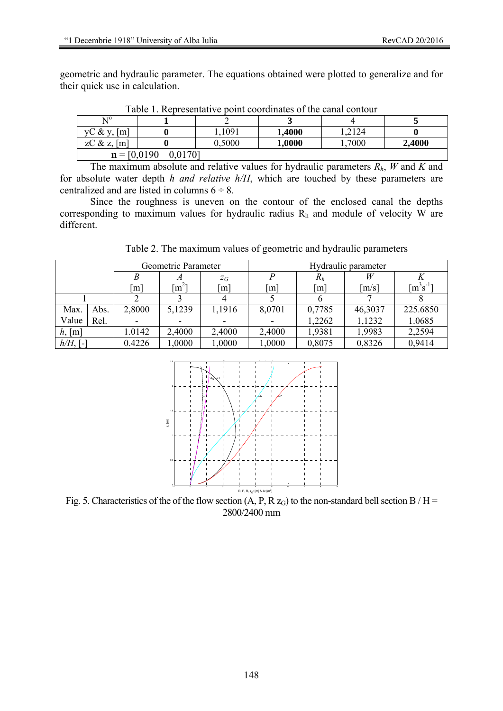geometric and hydraulic parameter. The equations obtained were plotted to generalize and for their quick use in calculation.

| TWOTO I, ITODI ODOMNAN I O DOMIN OGOTAMINICO OI MIO OMNAN OGNICOMI |  |        |        |       |        |  |  |  |  |  |
|--------------------------------------------------------------------|--|--------|--------|-------|--------|--|--|--|--|--|
| $\rm N^0$                                                          |  |        |        |       |        |  |  |  |  |  |
| $\lceil m \rceil$<br>$\vee$ C & $\vee$ ,                           |  | 1091   | 1,4000 | .2124 |        |  |  |  |  |  |
| zC & z, $[m]$                                                      |  | 0.5000 | 1,0000 | .7000 | 2,4000 |  |  |  |  |  |
| $\mathbf{n} = [0.0190]$<br>0,0170]                                 |  |        |        |       |        |  |  |  |  |  |

Table 1. Representative point coordinates of the canal contour

The maximum absolute and relative values for hydraulic parameters *Rh*, *W* and *K* and for absolute water depth *h and relative h/H*, which are touched by these parameters are centralized and are listed in columns  $6 \div 8$ .

Since the roughness is uneven on the contour of the enclosed canal the depths corresponding to maximum values for hydraulic radius  $R_h$  and module of velocity W are different.

Table 2. The maximum values of geometric and hydraulic parameters

|             |      | Geometric Parameter |         |                   | Hydraulic parameter |                   |         |                            |
|-------------|------|---------------------|---------|-------------------|---------------------|-------------------|---------|----------------------------|
|             |      |                     |         | $Z_G$             |                     | $R_h$             | W       |                            |
|             |      | $\lceil m \rceil$   | $m^2$ ] | $\lceil m \rceil$ | $\lceil m \rceil$   | $\lceil m \rceil$ | [m/s]   | $\lceil m^3 s^{-1} \rceil$ |
|             |      |                     |         |                   |                     |                   |         |                            |
| Max.        | Abs. | 2,8000              | 5,1239  | 1,1916            | 8,0701              | 0,7785            | 46,3037 | 225.6850                   |
| Value       | Rel. |                     |         |                   |                     | 1,2262            | 1,1232  | 1.0685                     |
| h, [m]      |      | 1.0142              | 2,4000  | 2,4000            | 2,4000              | 1,9381            | 1,9983  | 2,2594                     |
| $h/H$ , [-] |      | 0.4226              | 0000.1  | 1,0000            | 1,0000              | 0,8075            | 0,8326  | 0,9414                     |



Fig. 5. Characteristics of the of the flow section  $(A, P, R z_G)$  to the non-standard bell section B / H = 2800/2400 mm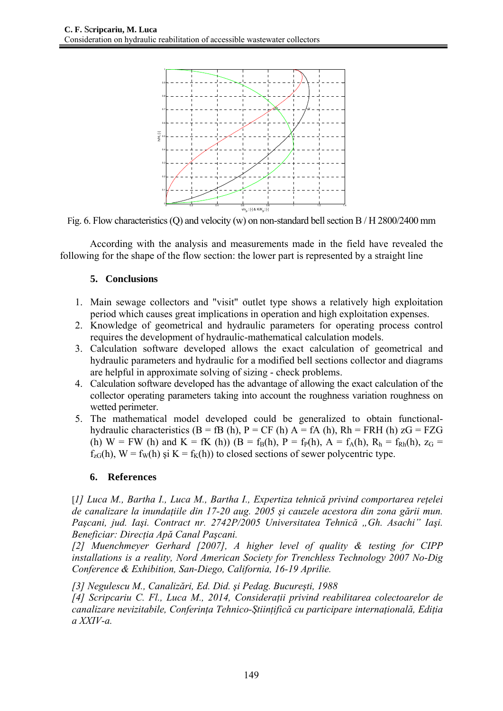

Fig. 6. Flow characteristics (Q) and velocity (w) on non-standard bell section B / H 2800/2400 mm

According with the analysis and measurements made in the field have revealed the following for the shape of the flow section: the lower part is represented by a straight line

## **5. Conclusions**

- 1. Main sewage collectors and "visit" outlet type shows a relatively high exploitation period which causes great implications in operation and high exploitation expenses.
- 2. Knowledge of geometrical and hydraulic parameters for operating process control requires the development of hydraulic-mathematical calculation models.
- 3. Calculation software developed allows the exact calculation of geometrical and hydraulic parameters and hydraulic for a modified bell sections collector and diagrams are helpful in approximate solving of sizing - check problems.
- 4. Calculation software developed has the advantage of allowing the exact calculation of the collector operating parameters taking into account the roughness variation roughness on wetted perimeter.
- 5. The mathematical model developed could be generalized to obtain functionalhydraulic characteristics (B = fB (h), P = CF (h)  $A = fA$  (h), Rh = FRH (h)  $zG = FZG$ (h) W = FW (h) and K = fK (h)) (B =  $f_B(h)$ , P =  $f_P(h)$ , A =  $f_A(h)$ , R<sub>h</sub> =  $f_{Rh}(h)$ ,  $z_G$  =  $f_{zG}(h)$ ,  $W = f_W(h)$  și  $K = f_K(h)$  to closed sections of sewer polycentric type.

## **6. References**

[*1] Luca M., Bartha I., Luca M., Bartha I., Expertiza tehnică privind comportarea reţelei de canalizare la inundaţiile din 17-20 aug. 2005 şi cauzele acestora din zona gării mun. Paşcani, jud. Iaşi. Contract nr. 2742P/2005 Universitatea Tehnică "Gh. Asachi" Iaşi. Beneficiar: Direcţia Apă Canal Paşcani.* 

*[2] Muenchmeyer Gerhard [2007], A higher level of quality & testing for CIPP installations is a reality, Nord American Society for Trenchless Technology 2007 No-Dig Conference & Exhibition, San-Diego, California, 16-19 Aprilie.* 

*[3] Negulescu M., Canalizări, Ed. Did. şi Pedag. Bucureşti, 1988* 

*[4] Scripcariu C. Fl., Luca M., 2014, Consideraţii privind reabilitarea colectoarelor de canalizare nevizitabile, Conferinţa Tehnico-Ştiinţifică cu participare internaţională, Ediţia a XXIV-a.*